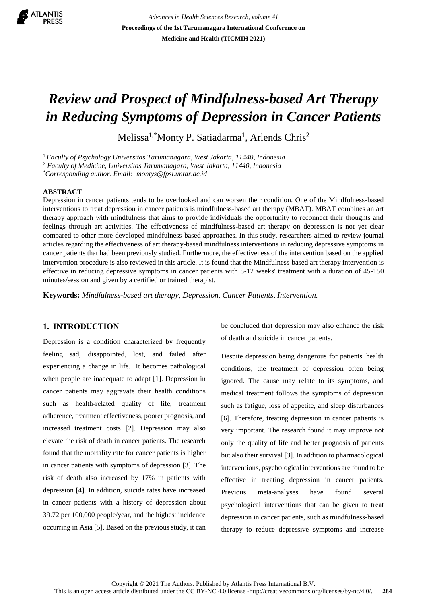

*Advances in Health Sciences Research, volume 41* **Proceedings of the 1st Tarumanagara International Conference on Medicine and Health (TICMIH 2021)**

# *Review and Prospect of Mindfulness-based Art Therapy in Reducing Symptoms of Depression in Cancer Patients*

Melissa<sup>1,\*</sup>Monty P. Satiadarma<sup>1</sup>, Arlends Chris<sup>2</sup>

<sup>1</sup>*Faculty of Psychology Universitas Tarumanagara, West Jakarta, 11440, Indonesia*

*<sup>2</sup> Faculty of Medicine, Universitas Tarumanagara, West Jakarta, 11440, Indonesia*

*\*Corresponding author. Email: montys@fpsi.untar.ac.id*

## **ABSTRACT**

Depression in cancer patients tends to be overlooked and can worsen their condition. One of the Mindfulness-based interventions to treat depression in cancer patients is mindfulness-based art therapy (MBAT). MBAT combines an art therapy approach with mindfulness that aims to provide individuals the opportunity to reconnect their thoughts and feelings through art activities. The effectiveness of mindfulness-based art therapy on depression is not yet clear compared to other more developed mindfulness-based approaches. In this study, researchers aimed to review journal articles regarding the effectiveness of art therapy-based mindfulness interventions in reducing depressive symptoms in cancer patients that had been previously studied. Furthermore, the effectiveness of the intervention based on the applied intervention procedure is also reviewed in this article. It is found that the Mindfulness-based art therapy intervention is effective in reducing depressive symptoms in cancer patients with 8-12 weeks' treatment with a duration of 45-150 minutes/session and given by a certified or trained therapist.

**Keywords:** *Mindfulness-based art therapy, Depression, Cancer Patients, Intervention.*

# **1. INTRODUCTION**

Depression is a condition characterized by frequently feeling sad, disappointed, lost, and failed after experiencing a change in life. It becomes pathological when people are inadequate to adapt [1]. Depression in cancer patients may aggravate their health conditions such as health-related quality of life, treatment adherence, treatment effectiveness, poorer prognosis, and increased treatment costs [2]. Depression may also elevate the risk of death in cancer patients. The research found that the mortality rate for cancer patients is higher in cancer patients with symptoms of depression [3]. The risk of death also increased by 17% in patients with depression [4]. In addition, suicide rates have increased in cancer patients with a history of depression about 39.72 per 100,000 people/year, and the highest incidence occurring in Asia [5]. Based on the previous study, it can

be concluded that depression may also enhance the risk of death and suicide in cancer patients.

Despite depression being dangerous for patients' health conditions, the treatment of depression often being ignored. The cause may relate to its symptoms, and medical treatment follows the symptoms of depression such as fatigue, loss of appetite, and sleep disturbances [6]. Therefore, treating depression in cancer patients is very important. The research found it may improve not only the quality of life and better prognosis of patients but also their survival [3]. In addition to pharmacological interventions, psychological interventions are found to be effective in treating depression in cancer patients. Previous meta-analyses have found several psychological interventions that can be given to treat depression in cancer patients, such as mindfulness-based therapy to reduce depressive symptoms and increase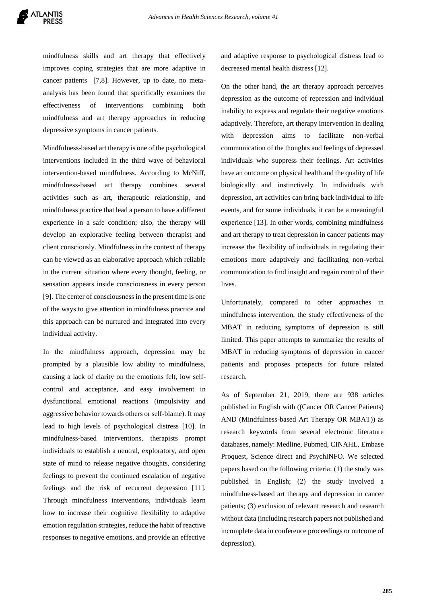mindfulness skills and art therapy that effectively improves coping strategies that are more adaptive in cancer patients [7,8]. However, up to date, no metaanalysis has been found that specifically examines the effectiveness of interventions combining both mindfulness and art therapy approaches in reducing depressive symptoms in cancer patients.

Mindfulness-based art therapy is one of the psychological interventions included in the third wave of behavioral intervention-based mindfulness. According to McNiff, mindfulness-based art therapy combines several activities such as art, therapeutic relationship, and mindfulness practice that lead a person to have a different experience in a safe condition; also, the therapy will develop an explorative feeling between therapist and client consciously. Mindfulness in the context of therapy can be viewed as an elaborative approach which reliable in the current situation where every thought, feeling, or sensation appears inside consciousness in every person [9]. The center of consciousness in the present time is one of the ways to give attention in mindfulness practice and this approach can be nurtured and integrated into every individual activity.

In the mindfulness approach, depression may be prompted by a plausible low ability to mindfulness, causing a lack of clarity on the emotions felt, low selfcontrol and acceptance, and easy involvement in dysfunctional emotional reactions (impulsivity and aggressive behavior towards others or self-blame). It may lead to high levels of psychological distress [10]. In mindfulness-based interventions, therapists prompt individuals to establish a neutral, exploratory, and open state of mind to release negative thoughts, considering feelings to prevent the continued escalation of negative feelings and the risk of recurrent depression [11]. Through mindfulness interventions, individuals learn how to increase their cognitive flexibility to adaptive emotion regulation strategies, reduce the habit of reactive responses to negative emotions, and provide an effective

and adaptive response to psychological distress lead to decreased mental health distress [12].

On the other hand, the art therapy approach perceives depression as the outcome of repression and individual inability to express and regulate their negative emotions adaptively. Therefore, art therapy intervention in dealing with depression aims to facilitate non-verbal communication of the thoughts and feelings of depressed individuals who suppress their feelings. Art activities have an outcome on physical health and the quality of life biologically and instinctively. In individuals with depression, art activities can bring back individual to life events, and for some individuals, it can be a meaningful experience [13]. In other words, combining mindfulness and art therapy to treat depression in cancer patients may increase the flexibility of individuals in regulating their emotions more adaptively and facilitating non-verbal communication to find insight and regain control of their lives.

Unfortunately, compared to other approaches in mindfulness intervention, the study effectiveness of the MBAT in reducing symptoms of depression is still limited. This paper attempts to summarize the results of MBAT in reducing symptoms of depression in cancer patients and proposes prospects for future related research.

As of September 21, 2019, there are 938 articles published in English with ((Cancer OR Cancer Patients) AND (Mindfulness-based Art Therapy OR MBAT)) as research keywords from several electronic literature databases, namely: Medline, Pubmed, CINAHL, Embase Proquest, Science direct and PsychINFO. We selected papers based on the following criteria: (1) the study was published in English; (2) the study involved a mindfulness-based art therapy and depression in cancer patients; (3) exclusion of relevant research and research without data (including research papers not published and incomplete data in conference proceedings or outcome of depression).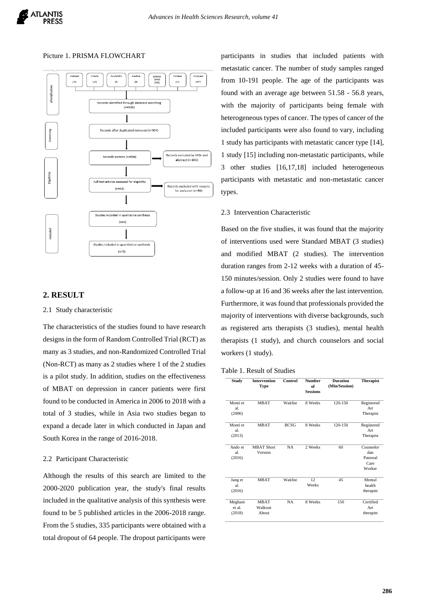#### Picture 1. PRISMA FLOWCHART



# **2. RESULT**

### 2.1 Study characteristic

The characteristics of the studies found to have research designs in the form of Random Controlled Trial (RCT) as many as 3 studies, and non-Randomized Controlled Trial (Non-RCT) as many as 2 studies where 1 of the 2 studies is a pilot study. In addition, studies on the effectiveness of MBAT on depression in cancer patients were first found to be conducted in America in 2006 to 2018 with a total of 3 studies, while in Asia two studies began to expand a decade later in which conducted in Japan and South Korea in the range of 2016-2018.

# 2.2 Participant Characteristic

Although the results of this search are limited to the 2000-2020 publication year, the study's final results included in the qualitative analysis of this synthesis were found to be 5 published articles in the 2006-2018 range. From the 5 studies, 335 participants were obtained with a total dropout of 64 people. The dropout participants were

participants in studies that included patients with metastatic cancer. The number of study samples ranged from 10-191 people. The age of the participants was found with an average age between 51.58 - 56.8 years, with the majority of participants being female with heterogeneous types of cancer. The types of cancer of the included participants were also found to vary, including 1 study has participants with metastatic cancer type [14], 1 study [15] including non-metastatic participants, while 3 other studies [16,17,18] included heterogeneous participants with metastatic and non-metastatic cancer types.

# 2.3 Intervention Characteristic

Based on the five studies, it was found that the majority of interventions used were Standard MBAT (3 studies) and modified MBAT (2 studies). The intervention duration ranges from 2-12 weeks with a duration of 45- 150 minutes/session. Only 2 studies were found to have a follow-up at 16 and 36 weeks after the last intervention. Furthermore, it was found that professionals provided the majority of interventions with diverse backgrounds, such as registered arts therapists (3 studies), mental health therapists (1 study), and church counselors and social workers (1 study).

| Table 1. Result of Studies |  |  |
|----------------------------|--|--|
|                            |  |  |

| <b>Study</b>                | <b>Intervention</b><br>Type     | Control     | <b>Number</b><br>of<br><b>Sessions</b> | <b>Duration</b><br>(Min/Session) | <b>Therapist</b>                               |
|-----------------------------|---------------------------------|-------------|----------------------------------------|----------------------------------|------------------------------------------------|
| Monti et<br>al.<br>(2006)   | <b>MBAT</b>                     | Waitlist    | 8 Weeks                                | 120-150                          | Registered<br>Art<br>Therapist                 |
| Monti et<br>al.<br>(2013)   | <b>MBAT</b>                     | <b>BCSG</b> | 8 Weeks                                | 120-150                          | Registered<br>Art<br>Therapist                 |
| Ando et<br>al.<br>(2016)    | <b>MBAT Short</b><br>Version    | NA          | 2 Weeks                                | 60                               | Counselor<br>dan<br>Pastoral<br>Care<br>Worker |
| Jang et<br>al.<br>(2016)    | <b>MBAT</b>                     | Waitlist    | 12<br>Weeks                            | 45                               | Mental<br>health<br>therapist                  |
| Meghani<br>et al.<br>(2018) | <b>MBAT</b><br>Walkout<br>About | <b>NA</b>   | 8 Weeks                                | 150                              | Certified<br>Art<br>therapist                  |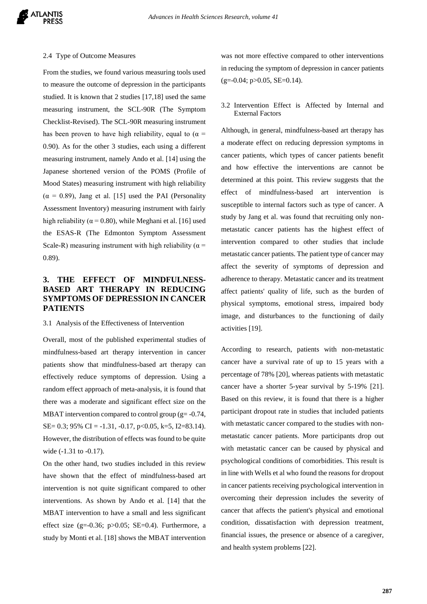#### 2.4 Type of Outcome Measures

From the studies, we found various measuring tools used to measure the outcome of depression in the participants studied. It is known that 2 studies [17,18] used the same measuring instrument, the SCL-90R (The Symptom Checklist-Revised). The SCL-90R measuring instrument has been proven to have high reliability, equal to ( $\alpha$  = 0.90). As for the other 3 studies, each using a different measuring instrument, namely Ando et al. [14] using the Japanese shortened version of the POMS (Profile of Mood States) measuring instrument with high reliability  $(\alpha = 0.89)$ , Jang et al. [15] used the PAI (Personality Assessment Inventory) measuring instrument with fairly high reliability ( $\alpha$  = 0.80), while Meghani et al. [16] used the ESAS-R (The Edmonton Symptom Assessment Scale-R) measuring instrument with high reliability ( $\alpha$  = 0.89).

# **3. THE EFFECT OF MINDFULNESS-BASED ART THERAPY IN REDUCING SYMPTOMS OF DEPRESSION IN CANCER PATIENTS**

## 3.1 Analysis of the Effectiveness of Intervention

Overall, most of the published experimental studies of mindfulness-based art therapy intervention in cancer patients show that mindfulness-based art therapy can effectively reduce symptoms of depression. Using a random effect approach of meta-analysis, it is found that there was a moderate and significant effect size on the MBAT intervention compared to control group ( $g = -0.74$ , SE= 0.3; 95% CI =  $-1.31$ ,  $-0.17$ ,  $p<0.05$ , k=5, I2=83.14). However, the distribution of effects was found to be quite wide (-1.31 to -0.17).

On the other hand, two studies included in this review have shown that the effect of mindfulness-based art intervention is not quite significant compared to other interventions. As shown by Ando et al. [14] that the MBAT intervention to have a small and less significant effect size (g=-0.36; p $>0.05$ ; SE=0.4). Furthermore, a study by Monti et al. [18] shows the MBAT intervention was not more effective compared to other interventions in reducing the symptom of depression in cancer patients  $(g=-0.04; p>0.05, SE=0.14).$ 

## 3.2 Intervention Effect is Affected by Internal and External Factors

Although, in general, mindfulness-based art therapy has a moderate effect on reducing depression symptoms in cancer patients, which types of cancer patients benefit and how effective the interventions are cannot be determined at this point. This review suggests that the effect of mindfulness-based art intervention is susceptible to internal factors such as type of cancer. A study by Jang et al. was found that recruiting only nonmetastatic cancer patients has the highest effect of intervention compared to other studies that include metastatic cancer patients. The patient type of cancer may affect the severity of symptoms of depression and adherence to therapy. Metastatic cancer and its treatment affect patients' quality of life, such as the burden of physical symptoms, emotional stress, impaired body image, and disturbances to the functioning of daily activities [19].

According to research, patients with non-metastatic cancer have a survival rate of up to 15 years with a percentage of 78% [20], whereas patients with metastatic cancer have a shorter 5-year survival by 5-19% [21]. Based on this review, it is found that there is a higher participant dropout rate in studies that included patients with metastatic cancer compared to the studies with nonmetastatic cancer patients. More participants drop out with metastatic cancer can be caused by physical and psychological conditions of comorbidities. This result is in line with Wells et al who found the reasons for dropout in cancer patients receiving psychological intervention in overcoming their depression includes the severity of cancer that affects the patient's physical and emotional condition, dissatisfaction with depression treatment, financial issues, the presence or absence of a caregiver, and health system problems [22].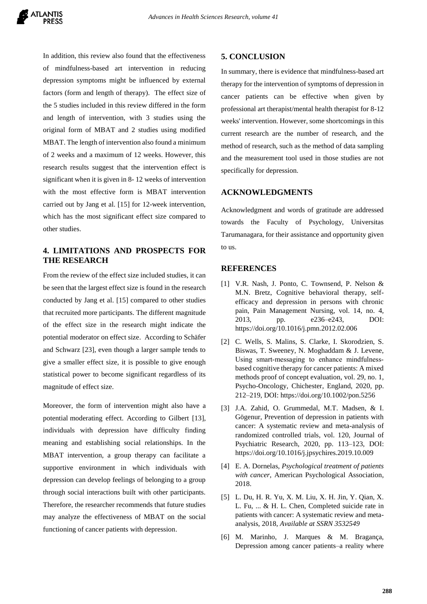In addition, this review also found that the effectiveness of mindfulness-based art intervention in reducing depression symptoms might be influenced by external factors (form and length of therapy). The effect size of the 5 studies included in this review differed in the form and length of intervention, with 3 studies using the original form of MBAT and 2 studies using modified MBAT. The length of intervention also found a minimum of 2 weeks and a maximum of 12 weeks. However, this research results suggest that the intervention effect is significant when it is given in 8- 12 weeks of intervention with the most effective form is MBAT intervention carried out by Jang et al. [15] for 12-week intervention, which has the most significant effect size compared to other studies.

# **4. LIMITATIONS AND PROSPECTS FOR THE RESEARCH**

From the review of the effect size included studies, it can be seen that the largest effect size is found in the research conducted by Jang et al. [15] compared to other studies that recruited more participants. The different magnitude of the effect size in the research might indicate the potential moderator on effect size. According to Schäfer and Schwarz [23], even though a larger sample tends to give a smaller effect size, it is possible to give enough statistical power to become significant regardless of its magnitude of effect size.

Moreover, the form of intervention might also have a potential moderating effect. According to Gilbert [13], individuals with depression have difficulty finding meaning and establishing social relationships. In the MBAT intervention, a group therapy can facilitate a supportive environment in which individuals with depression can develop feelings of belonging to a group through social interactions built with other participants. Therefore, the researcher recommends that future studies may analyze the effectiveness of MBAT on the social functioning of cancer patients with depression.

# **5. CONCLUSION**

In summary, there is evidence that mindfulness-based art therapy for the intervention of symptoms of depression in cancer patients can be effective when given by professional art therapist/mental health therapist for 8-12 weeks' intervention. However, some shortcomings in this current research are the number of research, and the method of research, such as the method of data sampling and the measurement tool used in those studies are not specifically for depression.

# **ACKNOWLEDGMENTS**

Acknowledgment and words of gratitude are addressed towards the Faculty of Psychology, Universitas Tarumanagara, for their assistance and opportunity given to us.

# **REFERENCES**

- [1] V.R. Nash, J. Ponto, C. Townsend, P. Nelson & M.N. Bretz, Cognitive behavioral therapy, selfefficacy and depression in persons with chronic pain, Pain Management Nursing, vol. 14, no. 4, 2013, pp. e236–e243, DOI: https://doi.org/10.1016/j.pmn.2012.02.006
- [2] C. Wells, S. Malins, S. Clarke, I. Skorodzien, S. Biswas, T. Sweeney, N. Moghaddam & J. Levene, Using smart‐messaging to enhance mindfulness‐ based cognitive therapy for cancer patients: A mixed methods proof of concept evaluation, vol. 29, no. 1, Psycho-Oncology, Chichester, England, 2020, pp. 212–219, DOI: https://doi.org/10.1002/pon.5256
- [3] J.A. Zahid, O. Grummedal, M.T. Madsen, & I. Gögenur, Prevention of depression in patients with cancer: A systematic review and meta-analysis of randomized controlled trials, vol. 120, Journal of Psychiatric Research, 2020, pp. 113–123, DOI: https://doi.org/10.1016/j.jpsychires.2019.10.009
- [4] E. A. Dornelas, *Psychological treatment of patients with cancer*, American Psychological Association, 2018.
- [5] L. Du, H. R. Yu, X. M. Liu, X. H. Jin, Y. Qian, X. L. Fu, ... & H. L. Chen, Completed suicide rate in patients with cancer: A systematic review and metaanalysis, 2018, *Available at SSRN 3532549*
- [6] M. Marinho, J. Marques & M. Bragança, Depression among cancer patients–a reality where